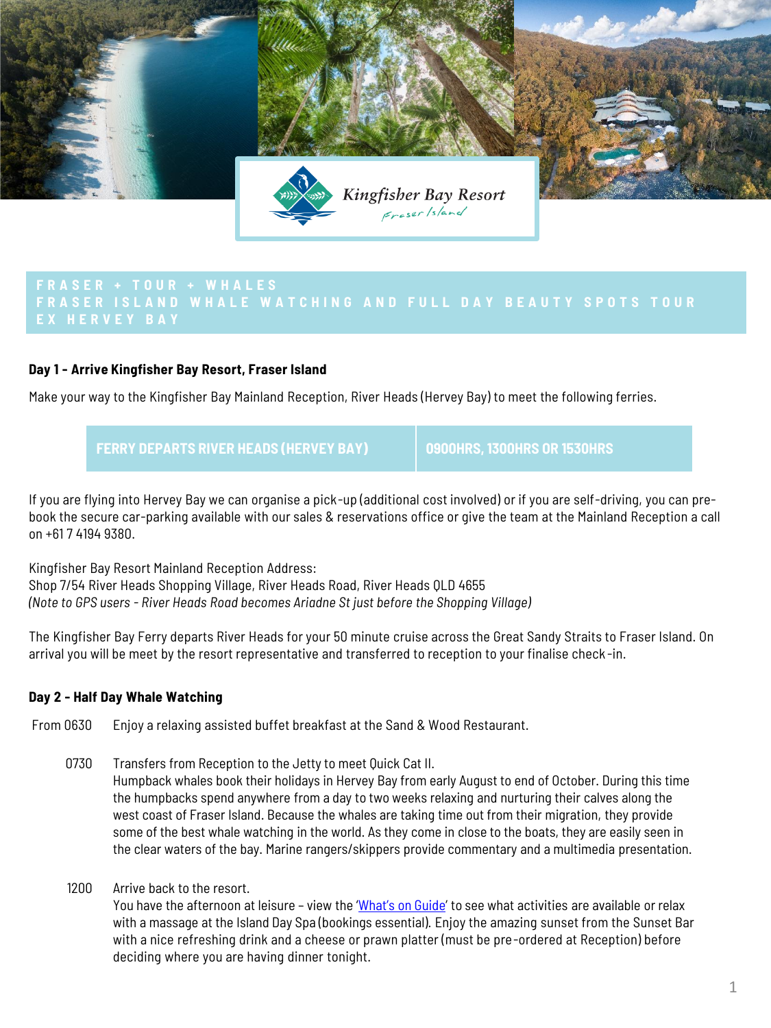

# **Day 1 - Arrive Kingfisher Bay Resort, Fraser Island**

Make your way to the Kingfisher Bay Mainland Reception, River Heads (Hervey Bay) to meet the following ferries.

**FERRY DEPARTS RIVER HEADS (HERVEY BAY) 0900HRS, 1300HRS OR 1530HRS**

If you are flying into Hervey Bay we can organise a pick-up (additional cost involved) or if you are self-driving, you can prebook the secure car-parking available with our sales & reservations office or give the team at the Mainland Reception a call on +61 7 4194 9380.

Kingfisher Bay Resort Mainland Reception Address:

Shop 7/54 River Heads Shopping Village, River Heads Road, River Heads QLD 4655 *(Note to GPS users - River Heads Road becomes Ariadne St just before the Shopping Village)*

The Kingfisher Bay Ferry departs River Heads for your 50 minute cruise across the Great Sandy Straits to Fraser Island. On arrival you will be meet by the resort representative and transferred to reception to your finalise check -in.

## **Day 2 - Half Day Whale Watching**

From 0630 Enjoy a relaxing assisted buffet breakfast at the Sand & Wood Restaurant.

- 0730 Transfers from Reception to the Jetty to meet Quick Cat II. Humpback whales book their holidays in Hervey Bay from early August to end of October. During this time the humpbacks spend anywhere from a day to two weeks relaxing and nurturing their calves along the west coast of Fraser Island. Because the whales are taking time out from their migration, they provide some of the best whale watching in the world. As they come in close to the boats, they are easily seen in the clear waters of the bay. Marine rangers/skippers provide commentary and a multimedia presentation.
- 1200 Arrive back to the resort.

You have the afternoon at leisure - view the '[What's on Guide](https://www.kingfisherbay.com/fraser-island-events/whats-on-guide.html)' to see what activities are available or relax with a massage at the Island Day Spa (bookings essential). Enjoy the amazing sunset from the Sunset Bar with a nice refreshing drink and a cheese or prawn platter (must be pre-ordered at Reception) before deciding where you are having dinner tonight.